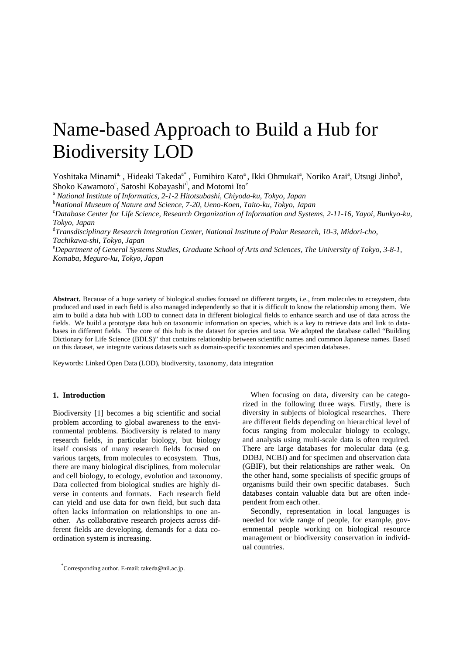# Name-based Approach to Build a Hub for Biodiversity LOD

Yoshitaka Minami<sup>a,</sup>, Hideaki Takeda<sup>a\*</sup>, Fumihiro Kato<sup>a</sup>, Ikki Ohmukai<sup>a</sup>, Noriko Arai<sup>a</sup>, Utsugi Jinbo<sup>b</sup>, Shoko Kawamoto<sup>c</sup>, Satoshi Kobayashi<sup>d</sup>, and Motomi Ito<sup>e</sup>

<sup>a</sup> National Institute of Informatics, 2-1-2 Hitotsubashi, Chiyoda-ku, Tokyo, Japan

b *National Museum of Nature and Science, 7-20, Ueno-Koen, Taito-ku, Tokyo, Japan* 

c *Database Center for Life Science, Research Organization of Information and Systems, 2-11-16, Yayoi, Bunkyo-ku, Tokyo, Japan* 

d *Transdisciplinary Research Integration Center, National Institute of Polar Research, 10-3, Midori-cho, Tachikawa-shi, Tokyo, Japan* 

e *Department of General Systems Studies, Graduate School of Arts and Sciences, The University of Tokyo, 3-8-1, Komaba, Meguro-ku, Tokyo, Japan* 

**Abstract.** Because of a huge variety of biological studies focused on different targets, i.e., from molecules to ecosystem, data produced and used in each field is also managed independently so that it is difficult to know the relationship among them. We aim to build a data hub with LOD to connect data in different biological fields to enhance search and use of data across the fields. We build a prototype data hub on taxonomic information on species, which is a key to retrieve data and link to databases in different fields. The core of this hub is the dataset for species and taxa. We adopted the database called "Building Dictionary for Life Science (BDLS)" that contains relationship between scientific names and common Japanese names. Based on this dataset, we integrate various datasets such as domain-specific taxonomies and specimen databases.

Keywords: Linked Open Data (LOD), biodiversity, taxonomy, data integration

# **1. Introduction**

 $\overline{\phantom{a}}$ 

Biodiversity [1] becomes a big scientific and social problem according to global awareness to the environmental problems. Biodiversity is related to many research fields, in particular biology, but biology itself consists of many research fields focused on various targets, from molecules to ecosystem. Thus, there are many biological disciplines, from molecular and cell biology, to ecology, evolution and taxonomy. Data collected from biological studies are highly diverse in contents and formats. Each research field can yield and use data for own field, but such data often lacks information on relationships to one another. As collaborative research projects across different fields are developing, demands for a data coordination system is increasing.

When focusing on data, diversity can be categorized in the following three ways. Firstly, there is diversity in subjects of biological researches. There are different fields depending on hierarchical level of focus ranging from molecular biology to ecology, and analysis using multi-scale data is often required. There are large databases for molecular data (e.g. DDBJ, NCBI) and for specimen and observation data (GBIF), but their relationships are rather weak. On the other hand, some specialists of specific groups of organisms build their own specific databases. Such databases contain valuable data but are often independent from each other.

Secondly, representation in local languages is needed for wide range of people, for example, governmental people working on biological resource management or biodiversity conservation in individual countries.

<sup>\*</sup> Corresponding author. E-mail: takeda@nii.ac.jp.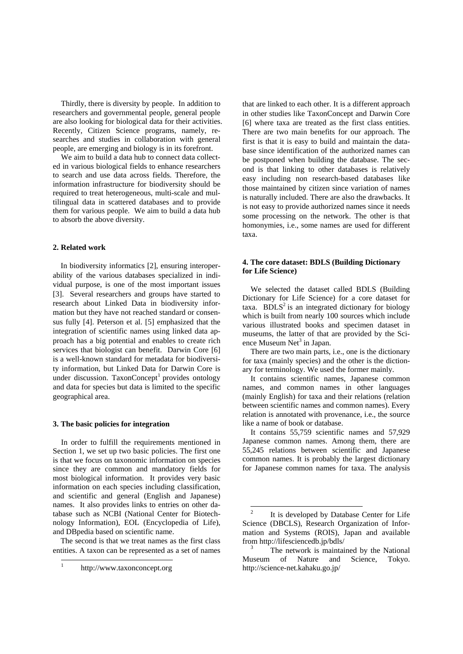Thirdly, there is diversity by people. In addition to researchers and governmental people, general people are also looking for biological data for their activities. Recently, Citizen Science programs, namely, researches and studies in collaboration with general people, are emerging and biology is in its forefront.

We aim to build a data hub to connect data collected in various biological fields to enhance researchers to search and use data across fields. Therefore, the information infrastructure for biodiversity should be required to treat heterogeneous, multi-scale and multilingual data in scattered databases and to provide them for various people. We aim to build a data hub to absorb the above diversity.

## **2. Related work**

In biodiversity informatics [2], ensuring interoperability of the various databases specialized in individual purpose, is one of the most important issues [3]. Several researchers and groups have started to research about Linked Data in biodiversity information but they have not reached standard or consensus fully [4]. Peterson et al. [5] emphasized that the integration of scientific names using linked data approach has a big potential and enables to create rich services that biologist can benefit. Darwin Core [6] is a well-known standard for metadata for biodiversity information, but Linked Data for Darwin Core is under discussion. TaxonConcept<sup>1</sup> provides ontology and data for species but data is limited to the specific geographical area.

#### **3. The basic policies for integration**

In order to fulfill the requirements mentioned in Section 1, we set up two basic policies. The first one is that we focus on taxonomic information on species since they are common and mandatory fields for most biological information. It provides very basic information on each species including classification, and scientific and general (English and Japanese) names. It also provides links to entries on other database such as NCBI (National Center for Biotechnology Information), EOL (Encyclopedia of Life), and DBpedia based on scientific name.

The second is that we treat names as the first class entities. A taxon can be represented as a set of names that are linked to each other. It is a different approach in other studies like TaxonConcept and Darwin Core [6] where taxa are treated as the first class entities. There are two main benefits for our approach. The first is that it is easy to build and maintain the database since identification of the authorized names can be postponed when building the database. The second is that linking to other databases is relatively easy including non research-based databases like those maintained by citizen since variation of names is naturally included. There are also the drawbacks. It is not easy to provide authorized names since it needs some processing on the network. The other is that homonymies, i.e., some names are used for different taxa.

# **4. The core dataset: BDLS (Building Dictionary for Life Science)**

We selected the dataset called BDLS (Building Dictionary for Life Science) for a core dataset for taxa. BDLS<sup>2</sup> is an integrated dictionary for biology which is built from nearly 100 sources which include various illustrated books and specimen dataset in museums, the latter of that are provided by the Science Museum Net<sup>3</sup> in Japan.

There are two main parts, i.e., one is the dictionary for taxa (mainly species) and the other is the dictionary for terminology. We used the former mainly.

It contains scientific names, Japanese common names, and common names in other languages (mainly English) for taxa and their relations (relation between scientific names and common names). Every relation is annotated with provenance, i.e., the source like a name of book or database.

It contains 55,759 scientific names and 57,929 Japanese common names. Among them, there are 55,245 relations between scientific and Japanese common names. It is probably the largest dictionary for Japanese common names for taxa. The analysis

-

 $\frac{1}{1}$ http://www.taxonconcept.org

<sup>2</sup> It is developed by Database Center for Life Science (DBCLS), Research Organization of Information and Systems (ROIS), Japan and available from http://lifesciencedb.jp/bdls/ 3

The network is maintained by the National Museum of Nature and Science, Tokyo. http://science-net.kahaku.go.jp/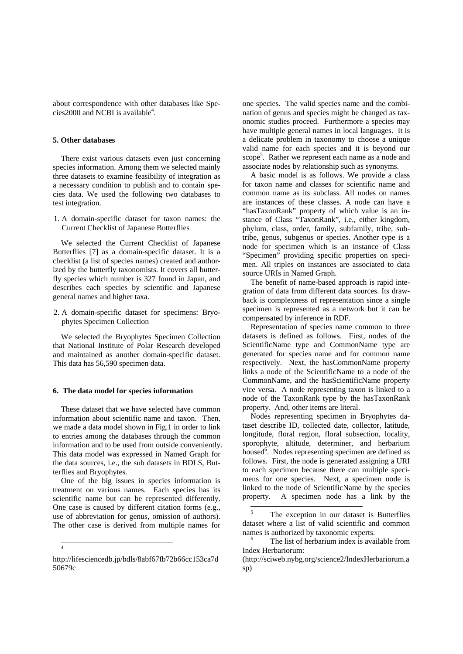about correspondence with other databases like Species 2000 and NCBI is available<sup>4</sup>.

# **5. Other databases**

There exist various datasets even just concerning species information. Among them we selected mainly three datasets to examine feasibility of integration as a necessary condition to publish and to contain species data. We used the following two databases to test integration.

1. A domain-specific dataset for taxon names: the Current Checklist of Japanese Butterflies

We selected the Current Checklist of Japanese Butterflies [7] as a domain-specific dataset. It is a checklist (a list of species names) created and authorized by the butterfly taxonomists. It covers all butterfly species which number is 327 found in Japan, and describes each species by scientific and Japanese general names and higher taxa.

2. A domain-specific dataset for specimens: Bryophytes Specimen Collection

We selected the Bryophytes Specimen Collection that National Institute of Polar Research developed and maintained as another domain-specific dataset. This data has 56,590 specimen data.

#### **6. The data model for species information**

These dataset that we have selected have common information about scientific name and taxon. Then, we made a data model shown in Fig.1 in order to link to entries among the databases through the common information and to be used from outside conveniently. This data model was expressed in Named Graph for the data sources, i.e., the sub datasets in BDLS, Butterflies and Bryophytes.

One of the big issues in species information is treatment on various names. Each species has its scientific name but can be represented differently. One case is caused by different citation forms (e.g., use of abbreviation for genus, omission of authors). The other case is derived from multiple names for

one species. The valid species name and the combination of genus and species might be changed as taxonomic studies proceed. Furthermore a species may have multiple general names in local languages. It is a delicate problem in taxonomy to choose a unique valid name for each species and it is beyond our scope<sup>5</sup>. Rather we represent each name as a node and associate nodes by relationship such as synonyms.

A basic model is as follows. We provide a class for taxon name and classes for scientific name and common name as its subclass. All nodes on names are instances of these classes. A node can have a "hasTaxonRank" property of which value is an instance of Class "TaxonRank", i.e., either kingdom, phylum, class, order, family, subfamily, tribe, subtribe, genus, subgenus or species. Another type is a node for specimen which is an instance of Class "Specimen" providing specific properties on specimen. All triples on instances are associated to data source URIs in Named Graph.

The benefit of name-based approach is rapid integration of data from different data sources. Its drawback is complexness of representation since a single specimen is represented as a network but it can be compensated by inference in RDF.

Representation of species name common to three datasets is defined as follows. First, nodes of the ScientificName type and CommonName type are generated for species name and for common name respectively. Next, the hasCommonName property links a node of the ScientificName to a node of the CommonName, and the hasScientificName property vice versa. A node representing taxon is linked to a node of the TaxonRank type by the hasTaxonRank property. And, other items are literal.

Nodes representing specimen in Bryophytes dataset describe ID, collected date, collector, latitude, longitude, floral region, floral subsection, locality, sporophyte, altitude, determiner, and herbarium housed<sup>6</sup>. Nodes representing specimen are defined as follows. First, the node is generated assigning a URI to each specimen because there can multiple specimens for one species. Next, a specimen node is linked to the node of ScientificName by the species property. A specimen node has a link by the

 $\frac{1}{4}$ 

http://lifesciencedb.jp/bdls/8abf67fb72b66cc153ca7d 50679c

 $\frac{1}{5}$  The exception in our dataset is Butterflies dataset where a list of valid scientific and common names is authorized by taxonomic experts. 6

The list of herbarium index is available from Index Herbariorum:

<sup>(</sup>http://sciweb.nybg.org/science2/IndexHerbariorum.a sp)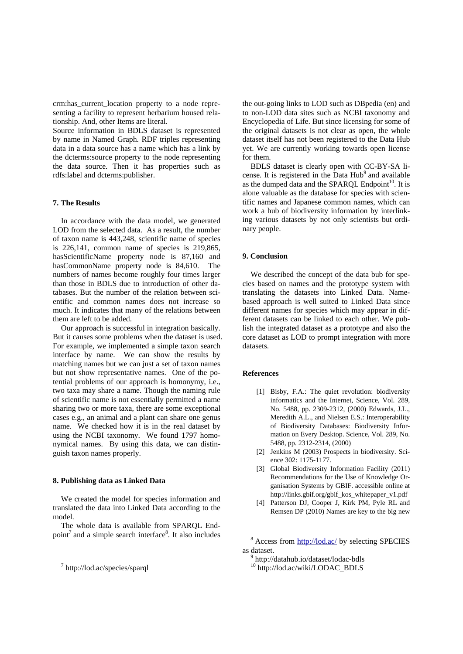crm:has\_current\_location property to a node representing a facility to represent herbarium housed relationship. And, other Items are literal.

Source information in BDLS dataset is represented by name in Named Graph. RDF triples representing data in a data source has a name which has a link by the dcterms:source property to the node representing the data source. Then it has properties such as rdfs:label and dcterms:publisher.

# **7. The Results**

In accordance with the data model, we generated LOD from the selected data. As a result, the number of taxon name is 443,248, scientific name of species is 226,141, common name of species is 219,865, hasScientificName property node is 87,160 and hasCommonName property node is 84,610. The numbers of names become roughly four times larger than those in BDLS due to introduction of other databases. But the number of the relation between scientific and common names does not increase so much. It indicates that many of the relations between them are left to be added.

Our approach is successful in integration basically. But it causes some problems when the dataset is used. For example, we implemented a simple taxon search interface by name. We can show the results by matching names but we can just a set of taxon names but not show representative names. One of the potential problems of our approach is homonymy, i.e., two taxa may share a name. Though the naming rule of scientific name is not essentially permitted a name sharing two or more taxa, there are some exceptional cases e.g., an animal and a plant can share one genus name. We checked how it is in the real dataset by using the NCBI taxonomy. We found 1797 homonymical names. By using this data, we can distinguish taxon names properly.

### **8. Publishing data as Linked Data**

We created the model for species information and translated the data into Linked Data according to the model.

The whole data is available from SPARQL Endpoint<sup>7</sup> and a simple search interface<sup>8</sup>. It also includes

 $\overline{\phantom{a}}$ 

the out-going links to LOD such as DBpedia (en) and to non-LOD data sites such as NCBI taxonomy and Encyclopedia of Life. But since licensing for some of the original datasets is not clear as open, the whole dataset itself has not been registered to the Data Hub yet. We are currently working towards open license for them.

BDLS dataset is clearly open with CC-BY-SA license. It is registered in the Data Hub<sup>9</sup> and available as the dumped data and the SPARQL Endpoint $10$ . It is alone valuable as the database for species with scientific names and Japanese common names, which can work a hub of biodiversity information by interlinking various datasets by not only scientists but ordinary people.

#### **9. Conclusion**

We described the concept of the data bub for species based on names and the prototype system with translating the datasets into Linked Data. Namebased approach is well suited to Linked Data since different names for species which may appear in different datasets can be linked to each other. We publish the integrated dataset as a prototype and also the core dataset as LOD to prompt integration with more datasets.

## **References**

-

- [1] Bisby, F.A.: The quiet revolution: biodiversity informatics and the Internet, Science, Vol. 289, No. 5488, pp. 2309-2312, (2000) Edwards, J.L., Meredith A.L., and Nielsen E.S.: Interoperability of Biodiversity Databases: Biodiversity Information on Every Desktop. Science, Vol. 289, No. 5488, pp. 2312-2314, (2000)
- [2] Jenkins M (2003) Prospects in biodiversity. Science 302: 1175-1177.
- [3] Global Biodiversity Information Facility (2011) Recommendations for the Use of Knowledge Organisation Systems by GBIF. accessible online at http://links.gbif.org/gbif\_kos\_whitepaper\_v1.pdf
- [4] Patterson DJ, Cooper J, Kirk PM, Pyle RL and Remsen DP (2010) Names are key to the big new

<sup>7</sup> http://lod.ac/species/sparql

<sup>&</sup>lt;sup>8</sup> Access from http://lod.ac/ by selecting SPECIES as dataset. 9

http://datahub.io/dataset/lodac-bdls

<sup>10</sup> http://lod.ac/wiki/LODAC\_BDLS